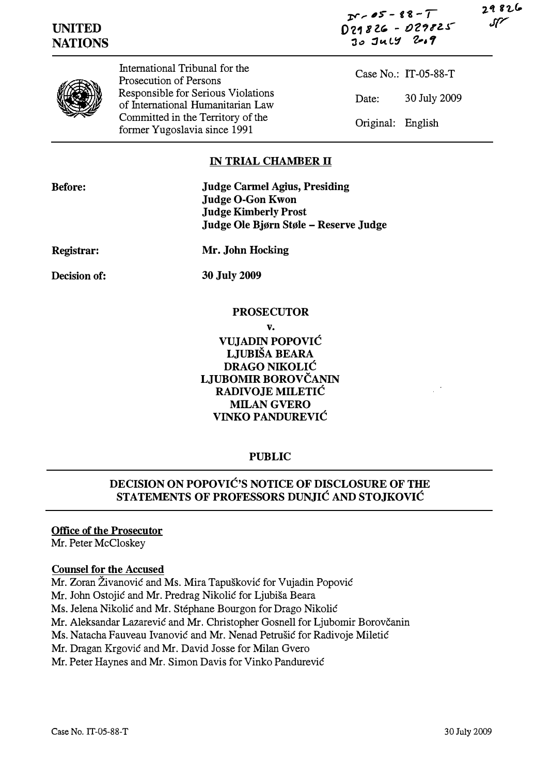مان 8 ج 1

| <b>UNITED</b>  |
|----------------|
| <b>NATIONS</b> |

 $25 - 88 - 1$  $D29826 - 029825$  $30$  July 2.9



International Tribunal for the Prosecution of Persons Responsible for Serious Violations of International Humanitarian Law Committed in the Territory of the former Yugoslavia since 1991

Case No.: IT-05-88-T Date: 30 July 2009 Original: English

### **IN TRIAL CHAMBER II**

Judge Carmei Agius, Presiding Judge O-Gon Kwon Judge Kimberly Prost Judge Ole Bjørn Støle – Reserve Judge

Registrar:

Mr. John Hocking

Decision of:

30 July 2009

#### PROSECUTOR

v.

VUJADIN POPOVIĆ LJUBIŠA BEARA DRAGO NIKOLIĆ LJUBOMIR BOROVČANIN RADIVOJE MILETIĆ MILAN GVERO VINKO PANDUREVIĆ

# PUBLIC

# DECISION ON POPOVIĆ'S NOTICE OF DISCLOSURE OF THE STATEMENTS OF PROFESSORS DUNJIĆ AND STOJKOVIĆ

### Office of the Prosecutor

Mr. Peter McCloskey

### Counsel for the Accused

Mr. Zoran Živanović and Ms. Mira Tapušković for Vujadin Popović

- Mr. John Ostojić and Mr. Predrag Nikolić for Ljubiša Beara
- Ms. Jelena Nikolić and Mr. Stephane Bourgon for Drago Nikolić
- Mr. Aleksandar Lazarević and Mr. Christopher Gosnell for Ljubomir Borovčanin
- Ms. Natacha Fauveau Ivanović and Mr. Nenad Petrušić for Radivoje Miletić
- Mr. Dragan Krgović and Mr. David Josse for Milan Gvero

Mr. Peter Haynes and Mr. Simon Davis for Vinko Pandurević